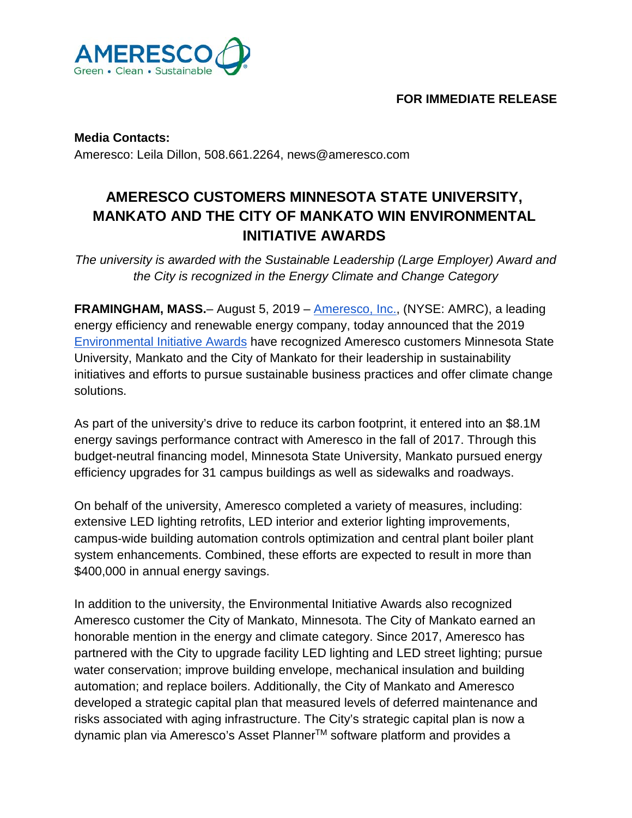

## **FOR IMMEDIATE RELEASE**

**Media Contacts:** Ameresco: Leila Dillon, 508.661.2264, news@ameresco.com

## **AMERESCO CUSTOMERS MINNESOTA STATE UNIVERSITY, MANKATO AND THE CITY OF MANKATO WIN ENVIRONMENTAL INITIATIVE AWARDS**

*The university is awarded with the Sustainable Leadership (Large Employer) Award and the City is recognized in the Energy Climate and Change Category*

**FRAMINGHAM, MASS.**– August 5, 2019 [–](http://ameresco.com/) [Ameresco, Inc.,](http://ameresco.com/) (NYSE: AMRC), a leading energy efficiency and renewable energy company, today announced that the 2019 [Environmental Initiative Awards](https://environmental-initiative.org/) have recognized Ameresco customers Minnesota State University, Mankato and the City of Mankato for their leadership in sustainability initiatives and efforts to pursue sustainable business practices and offer climate change solutions.

As part of the university's drive to reduce its carbon footprint, it entered into an \$8.1M energy savings performance contract with Ameresco in the fall of 2017. Through this budget-neutral financing model, Minnesota State University, Mankato pursued energy efficiency upgrades for 31 campus buildings as well as sidewalks and roadways.

On behalf of the university, Ameresco completed a variety of measures, including: extensive LED lighting retrofits, LED interior and exterior lighting improvements, campus‐wide building automation controls optimization and central plant boiler plant system enhancements. Combined, these efforts are expected to result in more than \$400,000 in annual energy savings.

In addition to the university, the Environmental Initiative Awards also recognized Ameresco customer the City of Mankato, Minnesota. The City of Mankato earned an honorable mention in the energy and climate category. Since 2017, Ameresco has partnered with the City to upgrade facility LED lighting and LED street lighting; pursue water conservation; improve building envelope, mechanical insulation and building automation; and replace boilers. Additionally, the City of Mankato and Ameresco developed a strategic capital plan that measured levels of deferred maintenance and risks associated with aging infrastructure. The City's strategic capital plan is now a dynamic plan via Ameresco's Asset Planner™ software platform and provides a